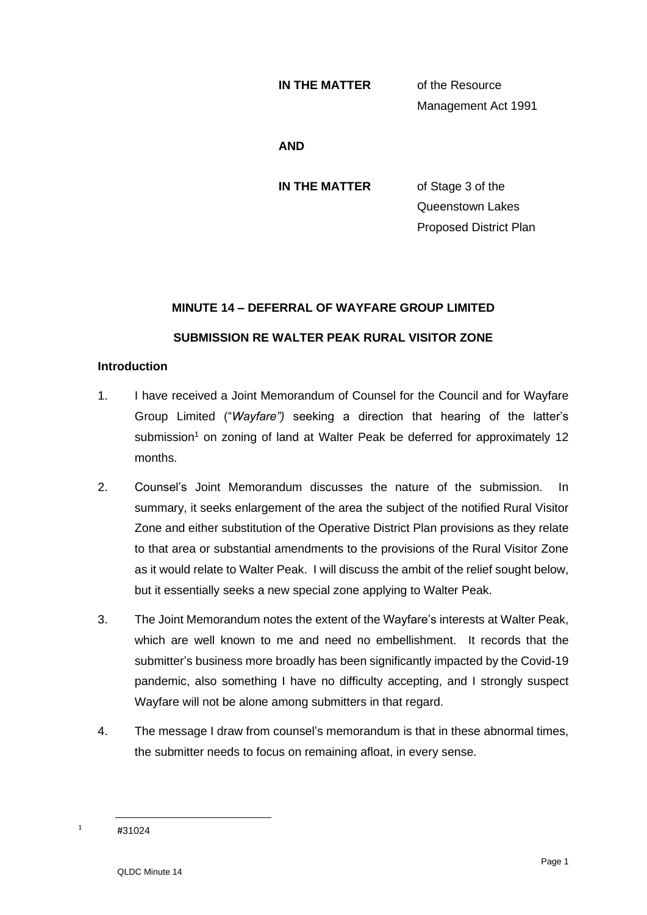#### **IN THE MATTER** of the Resource

Management Act 1991

**AND**

**IN THE MATTER** of Stage 3 of the Queenstown Lakes Proposed District Plan

# **MINUTE 14 – DEFERRAL OF WAYFARE GROUP LIMITED SUBMISSION RE WALTER PEAK RURAL VISITOR ZONE**

### **Introduction**

- 1. I have received a Joint Memorandum of Counsel for the Council and for Wayfare Group Limited ("*Wayfare")* seeking a direction that hearing of the latter's submission<sup>1</sup> on zoning of land at Walter Peak be deferred for approximately 12 months.
- 2. Counsel's Joint Memorandum discusses the nature of the submission. In summary, it seeks enlargement of the area the subject of the notified Rural Visitor Zone and either substitution of the Operative District Plan provisions as they relate to that area or substantial amendments to the provisions of the Rural Visitor Zone as it would relate to Walter Peak. I will discuss the ambit of the relief sought below, but it essentially seeks a new special zone applying to Walter Peak.
- 3. The Joint Memorandum notes the extent of the Wayfare's interests at Walter Peak, which are well known to me and need no embellishment. It records that the submitter's business more broadly has been significantly impacted by the Covid-19 pandemic, also something I have no difficulty accepting, and I strongly suspect Wayfare will not be alone among submitters in that regard.
- 4. The message I draw from counsel's memorandum is that in these abnormal times, the submitter needs to focus on remaining afloat, in every sense.

 $1 + 31024$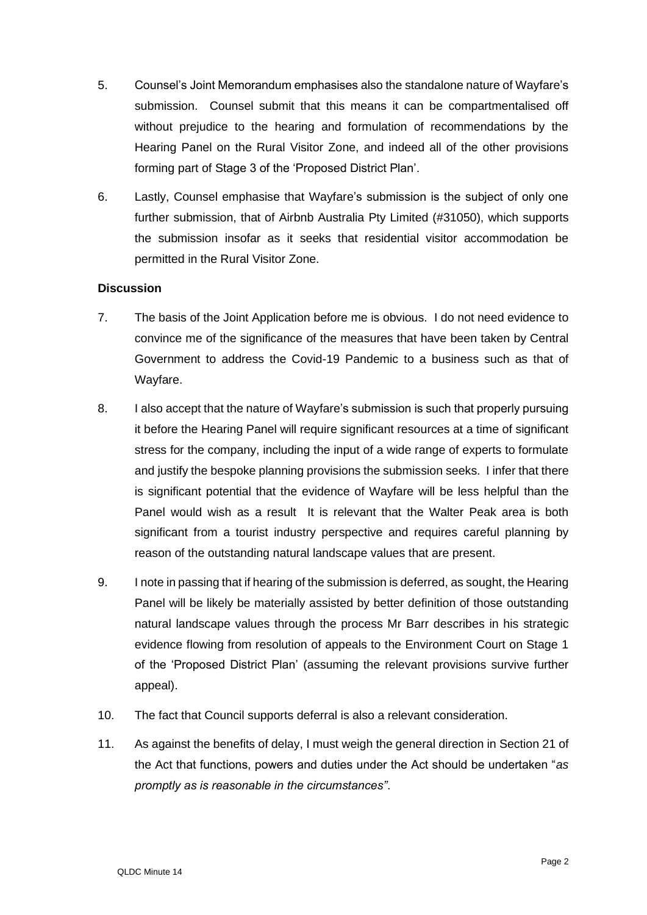- 5. Counsel's Joint Memorandum emphasises also the standalone nature of Wayfare's submission. Counsel submit that this means it can be compartmentalised off without prejudice to the hearing and formulation of recommendations by the Hearing Panel on the Rural Visitor Zone, and indeed all of the other provisions forming part of Stage 3 of the 'Proposed District Plan'.
- 6. Lastly, Counsel emphasise that Wayfare's submission is the subject of only one further submission, that of Airbnb Australia Pty Limited (#31050), which supports the submission insofar as it seeks that residential visitor accommodation be permitted in the Rural Visitor Zone.

## **Discussion**

- 7. The basis of the Joint Application before me is obvious. I do not need evidence to convince me of the significance of the measures that have been taken by Central Government to address the Covid-19 Pandemic to a business such as that of Wayfare.
- 8. I also accept that the nature of Wayfare's submission is such that properly pursuing it before the Hearing Panel will require significant resources at a time of significant stress for the company, including the input of a wide range of experts to formulate and justify the bespoke planning provisions the submission seeks. I infer that there is significant potential that the evidence of Wayfare will be less helpful than the Panel would wish as a result It is relevant that the Walter Peak area is both significant from a tourist industry perspective and requires careful planning by reason of the outstanding natural landscape values that are present.
- 9. I note in passing that if hearing of the submission is deferred, as sought, the Hearing Panel will be likely be materially assisted by better definition of those outstanding natural landscape values through the process Mr Barr describes in his strategic evidence flowing from resolution of appeals to the Environment Court on Stage 1 of the 'Proposed District Plan' (assuming the relevant provisions survive further appeal).
- 10. The fact that Council supports deferral is also a relevant consideration.
- 11. As against the benefits of delay, I must weigh the general direction in Section 21 of the Act that functions, powers and duties under the Act should be undertaken "*as promptly as is reasonable in the circumstances"*.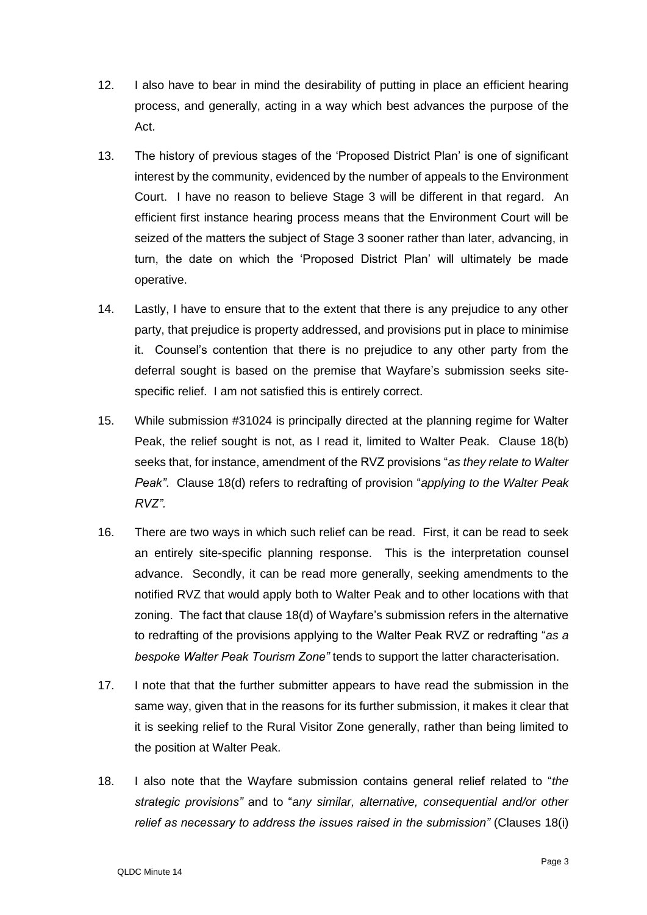- 12. I also have to bear in mind the desirability of putting in place an efficient hearing process, and generally, acting in a way which best advances the purpose of the Act.
- 13. The history of previous stages of the 'Proposed District Plan' is one of significant interest by the community, evidenced by the number of appeals to the Environment Court. I have no reason to believe Stage 3 will be different in that regard. An efficient first instance hearing process means that the Environment Court will be seized of the matters the subject of Stage 3 sooner rather than later, advancing, in turn, the date on which the 'Proposed District Plan' will ultimately be made operative.
- 14. Lastly, I have to ensure that to the extent that there is any prejudice to any other party, that prejudice is property addressed, and provisions put in place to minimise it. Counsel's contention that there is no prejudice to any other party from the deferral sought is based on the premise that Wayfare's submission seeks sitespecific relief. I am not satisfied this is entirely correct.
- 15. While submission #31024 is principally directed at the planning regime for Walter Peak, the relief sought is not, as I read it, limited to Walter Peak. Clause 18(b) seeks that, for instance, amendment of the RVZ provisions "*as they relate to Walter Peak"*. Clause 18(d) refers to redrafting of provision "*applying to the Walter Peak RVZ".*
- 16. There are two ways in which such relief can be read. First, it can be read to seek an entirely site-specific planning response. This is the interpretation counsel advance. Secondly, it can be read more generally, seeking amendments to the notified RVZ that would apply both to Walter Peak and to other locations with that zoning. The fact that clause 18(d) of Wayfare's submission refers in the alternative to redrafting of the provisions applying to the Walter Peak RVZ or redrafting "*as a bespoke Walter Peak Tourism Zone"* tends to support the latter characterisation.
- 17. I note that that the further submitter appears to have read the submission in the same way, given that in the reasons for its further submission, it makes it clear that it is seeking relief to the Rural Visitor Zone generally, rather than being limited to the position at Walter Peak.
- 18. I also note that the Wayfare submission contains general relief related to "*the strategic provisions"* and to "*any similar, alternative, consequential and/or other relief as necessary to address the issues raised in the submission"* (Clauses 18(i)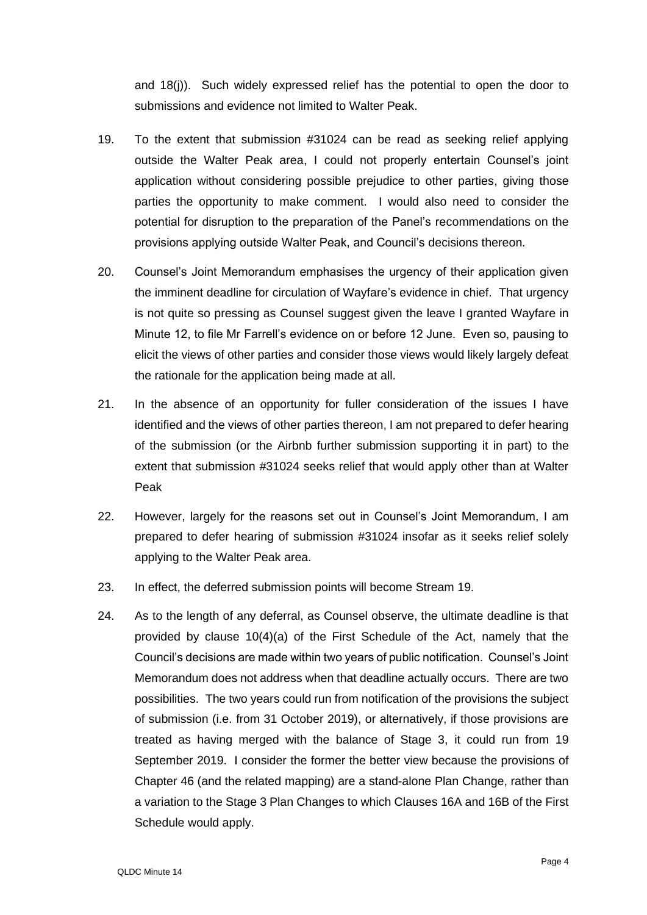and 18(j)). Such widely expressed relief has the potential to open the door to submissions and evidence not limited to Walter Peak.

- 19. To the extent that submission #31024 can be read as seeking relief applying outside the Walter Peak area, I could not properly entertain Counsel's joint application without considering possible prejudice to other parties, giving those parties the opportunity to make comment. I would also need to consider the potential for disruption to the preparation of the Panel's recommendations on the provisions applying outside Walter Peak, and Council's decisions thereon.
- 20. Counsel's Joint Memorandum emphasises the urgency of their application given the imminent deadline for circulation of Wayfare's evidence in chief. That urgency is not quite so pressing as Counsel suggest given the leave I granted Wayfare in Minute 12, to file Mr Farrell's evidence on or before 12 June. Even so, pausing to elicit the views of other parties and consider those views would likely largely defeat the rationale for the application being made at all.
- 21. In the absence of an opportunity for fuller consideration of the issues I have identified and the views of other parties thereon, I am not prepared to defer hearing of the submission (or the Airbnb further submission supporting it in part) to the extent that submission #31024 seeks relief that would apply other than at Walter Peak
- 22. However, largely for the reasons set out in Counsel's Joint Memorandum, I am prepared to defer hearing of submission #31024 insofar as it seeks relief solely applying to the Walter Peak area.
- 23. In effect, the deferred submission points will become Stream 19.
- 24. As to the length of any deferral, as Counsel observe, the ultimate deadline is that provided by clause 10(4)(a) of the First Schedule of the Act, namely that the Council's decisions are made within two years of public notification. Counsel's Joint Memorandum does not address when that deadline actually occurs. There are two possibilities. The two years could run from notification of the provisions the subject of submission (i.e. from 31 October 2019), or alternatively, if those provisions are treated as having merged with the balance of Stage 3, it could run from 19 September 2019. I consider the former the better view because the provisions of Chapter 46 (and the related mapping) are a stand-alone Plan Change, rather than a variation to the Stage 3 Plan Changes to which Clauses 16A and 16B of the First Schedule would apply.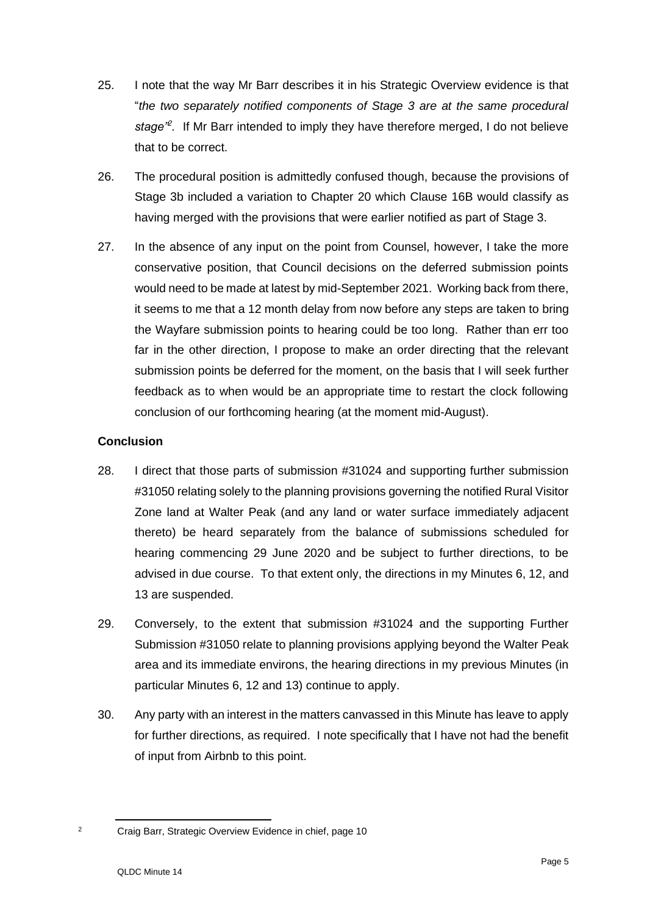- 25. I note that the way Mr Barr describes it in his Strategic Overview evidence is that "*the two separately notified components of Stage 3 are at the same procedural stage"<sup>2</sup> .* If Mr Barr intended to imply they have therefore merged, I do not believe that to be correct.
- 26. The procedural position is admittedly confused though, because the provisions of Stage 3b included a variation to Chapter 20 which Clause 16B would classify as having merged with the provisions that were earlier notified as part of Stage 3.
- 27. In the absence of any input on the point from Counsel, however, I take the more conservative position, that Council decisions on the deferred submission points would need to be made at latest by mid-September 2021. Working back from there, it seems to me that a 12 month delay from now before any steps are taken to bring the Wayfare submission points to hearing could be too long. Rather than err too far in the other direction, I propose to make an order directing that the relevant submission points be deferred for the moment, on the basis that I will seek further feedback as to when would be an appropriate time to restart the clock following conclusion of our forthcoming hearing (at the moment mid-August).

## **Conclusion**

- 28. I direct that those parts of submission #31024 and supporting further submission #31050 relating solely to the planning provisions governing the notified Rural Visitor Zone land at Walter Peak (and any land or water surface immediately adjacent thereto) be heard separately from the balance of submissions scheduled for hearing commencing 29 June 2020 and be subject to further directions, to be advised in due course. To that extent only, the directions in my Minutes 6, 12, and 13 are suspended.
- 29. Conversely, to the extent that submission #31024 and the supporting Further Submission #31050 relate to planning provisions applying beyond the Walter Peak area and its immediate environs, the hearing directions in my previous Minutes (in particular Minutes 6, 12 and 13) continue to apply.
- 30. Any party with an interest in the matters canvassed in this Minute has leave to apply for further directions, as required. I note specifically that I have not had the benefit of input from Airbnb to this point.

<sup>2</sup> Craig Barr, Strategic Overview Evidence in chief, page 10